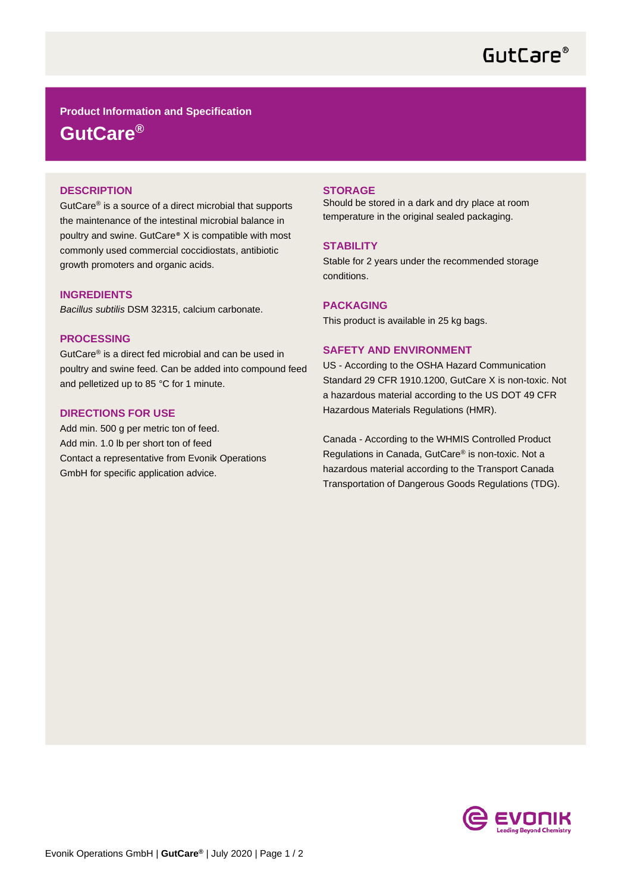# GutCare<sup>®</sup>

**Product Information and Specification GutCare®**

### **DESCRIPTION**

GutCare® is a source of a direct microbial that supports the maintenance of the intestinal microbial balance in poultry and swine. GutCare® X is compatible with most commonly used commercial coccidiostats, antibiotic growth promoters and organic acids.

### **INGREDIENTS**

*Bacillus subtilis* DSM 32315, calcium carbonate.

#### **PROCESSING**

GutCare® is a direct fed microbial and can be used in poultry and swine feed. Can be added into compound feed and pelletized up to 85 °C for 1 minute.

## **DIRECTIONS FOR USE**

Add min. 500 g per metric ton of feed. Add min. 1.0 lb per short ton of feed Contact a representative from Evonik Operations GmbH for specific application advice.

#### **STORAGE**

Should be stored in a dark and dry place at room temperature in the original sealed packaging.

#### **STABILITY**

Stable for 2 years under the recommended storage conditions.

#### **PACKAGING**

This product is available in 25 kg bags.

#### **SAFETY AND ENVIRONMENT**

US - According to the OSHA Hazard Communication Standard 29 CFR 1910.1200, GutCare X is non-toxic. Not a hazardous material according to the US DOT 49 CFR Hazardous Materials Regulations (HMR).

Canada - According to the WHMIS Controlled Product Regulations in Canada, GutCare® is non-toxic. Not a hazardous material according to the Transport Canada Transportation of Dangerous Goods Regulations (TDG).